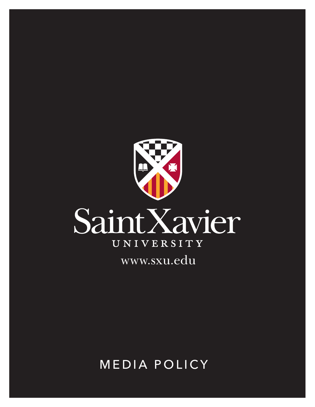

**MEDIA POLICY**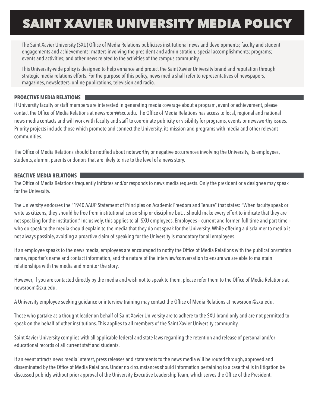# SAINT XAVIER UNIVERSITY MEDIA POLICY

The Saint Xavier University (SXU) Office of Media Relations publicizes institutional news and developments; faculty and student engagements and achievements; matters involving the president and administration; special accomplishments; programs; events and activities; and other news related to the activities of the campus community.

This University-wide policy is designed to help enhance and protect the Saint Xavier University brand and reputation through strategic media relations efforts. For the purpose of this policy, news media shall refer to representatives of newspapers, magazines, newsletters, online publications, television and radio.

### **PROACTIVE MEDIA RELATIONS**

If University faculty or staff members are interested in generating media coverage about a program, event or achievement, please contact the Office of Media Relations at newsroom@sxu.edu. The Office of Media Relations has access to local, regional and national news media contacts and will work with faculty and staff to coordinate publicity or visibility for programs, events or newsworthy issues. Priority projects include those which promote and connect the University, its mission and programs with media and other relevant communities.

The Office of Media Relations should be notified about noteworthy or negative occurrences involving the University, its employees, students, alumni, parents or donors that are likely to rise to the level of a news story.

### **REACTIVE MEDIA RELATIONS**

The Office of Media Relations frequently initiates and/or responds to news media requests. Only the president or a designee may speak for the University.

The University endorses the "1940 AAUP Statement of Principles on Academic Freedom and Tenure" that states: "When faculty speak or write as citizens, they should be free from institutional censorship or discipline but…should make every effort to indicate that they are not speaking for the institution." Inclusively, this applies to all SXU employees. Employees – current and former, full time and part time – who do speak to the media should explain to the media that they do not speak for the University. While offering a disclaimer to media is not always possible, avoiding a proactive claim of speaking for the University is mandatory for all employees.

If an employee speaks to the news media, employees are encouraged to notify the Office of Media Relations with the publication/station name, reporter's name and contact information, and the nature of the interview/conversation to ensure we are able to maintain relationships with the media and monitor the story.

However, if you are contacted directly by the media and wish not to speak to them, please refer them to the Office of Media Relations at newsroom@sxu.edu.

A University employee seeking guidance or interview training may contact the Office of Media Relations at newsroom@sxu.edu.

Those who partake as a thought leader on behalf of Saint Xavier University are to adhere to the SXU brand only and are not permitted to speak on the behalf of other institutions. This applies to all members of the Saint Xavier University community.

Saint Xavier University complies with all applicable federal and state laws regarding the retention and release of personal and/or educational records of all current staff and students.

If an event attracts news media interest, press releases and statements to the news media will be routed through, approved and disseminated by the Office of Media Relations. Under no circumstances should information pertaining to a case that is in litigation be discussed publicly without prior approval of the University Executive Leadership Team, which serves the Office of the President.